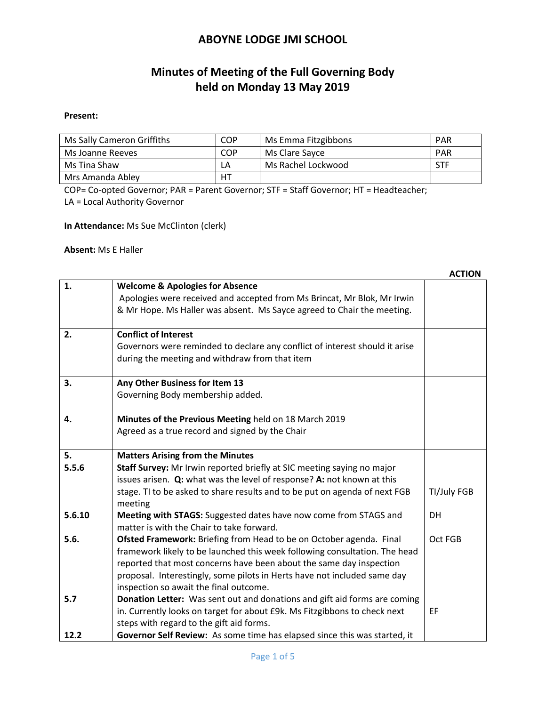# **Minutes of Meeting of the Full Governing Body held on Monday 13 May 2019**

#### **Present:**

| Ms Sally Cameron Griffiths | COP | Ms Emma Fitzgibbons | <b>PAR</b> |
|----------------------------|-----|---------------------|------------|
| Ms Joanne Reeves           | COP | Ms Clare Sayce      | <b>PAR</b> |
| Ms Tina Shaw               | LΑ  | Ms Rachel Lockwood  | STF        |
| Mrs Amanda Abley           | НT  |                     |            |

COP= Co-opted Governor; PAR = Parent Governor; STF = Staff Governor; HT = Headteacher; LA = Local Authority Governor

**In Attendance:** Ms Sue McClinton (clerk)

**Absent:** Ms E Haller

|             |                                                                                                                                                                                                                                                                                                                                                                                                                             | <b>ACTION</b> |
|-------------|-----------------------------------------------------------------------------------------------------------------------------------------------------------------------------------------------------------------------------------------------------------------------------------------------------------------------------------------------------------------------------------------------------------------------------|---------------|
| 1.          | <b>Welcome &amp; Apologies for Absence</b><br>Apologies were received and accepted from Ms Brincat, Mr Blok, Mr Irwin<br>& Mr Hope. Ms Haller was absent. Ms Sayce agreed to Chair the meeting.                                                                                                                                                                                                                             |               |
| 2.          | <b>Conflict of Interest</b><br>Governors were reminded to declare any conflict of interest should it arise<br>during the meeting and withdraw from that item                                                                                                                                                                                                                                                                |               |
| 3.          | Any Other Business for Item 13<br>Governing Body membership added.                                                                                                                                                                                                                                                                                                                                                          |               |
| 4.          | Minutes of the Previous Meeting held on 18 March 2019<br>Agreed as a true record and signed by the Chair                                                                                                                                                                                                                                                                                                                    |               |
| 5.          | <b>Matters Arising from the Minutes</b>                                                                                                                                                                                                                                                                                                                                                                                     |               |
| 5.5.6       | Staff Survey: Mr Irwin reported briefly at SIC meeting saying no major                                                                                                                                                                                                                                                                                                                                                      |               |
|             | issues arisen. Q: what was the level of response? A: not known at this                                                                                                                                                                                                                                                                                                                                                      |               |
|             | stage. TI to be asked to share results and to be put on agenda of next FGB<br>meeting                                                                                                                                                                                                                                                                                                                                       | TI/July FGB   |
| 5.6.10      | Meeting with STAGS: Suggested dates have now come from STAGS and<br>matter is with the Chair to take forward.                                                                                                                                                                                                                                                                                                               | DH            |
| 5.6.<br>5.7 | Ofsted Framework: Briefing from Head to be on October agenda. Final<br>framework likely to be launched this week following consultation. The head<br>reported that most concerns have been about the same day inspection<br>proposal. Interestingly, some pilots in Herts have not included same day<br>inspection so await the final outcome.<br>Donation Letter: Was sent out and donations and gift aid forms are coming | Oct FGB       |
|             | in. Currently looks on target for about £9k. Ms Fitzgibbons to check next<br>steps with regard to the gift aid forms.                                                                                                                                                                                                                                                                                                       | EF            |
| 12.2        | Governor Self Review: As some time has elapsed since this was started, it                                                                                                                                                                                                                                                                                                                                                   |               |

**ACTION**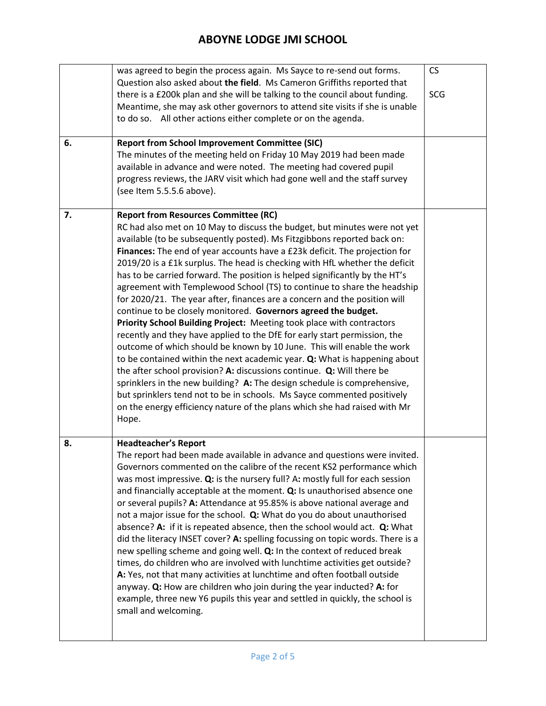|    | was agreed to begin the process again. Ms Sayce to re-send out forms.<br>Question also asked about the field. Ms Cameron Griffiths reported that<br>there is a £200k plan and she will be talking to the council about funding.<br>Meantime, she may ask other governors to attend site visits if she is unable<br>to do so. All other actions either complete or on the agenda.                                                                                                                                                                                                                                                                                                                                                                                                                                                                                                                                                                                                                                                                                                                                                                                                                                                                                                                             | <b>CS</b><br>SCG |
|----|--------------------------------------------------------------------------------------------------------------------------------------------------------------------------------------------------------------------------------------------------------------------------------------------------------------------------------------------------------------------------------------------------------------------------------------------------------------------------------------------------------------------------------------------------------------------------------------------------------------------------------------------------------------------------------------------------------------------------------------------------------------------------------------------------------------------------------------------------------------------------------------------------------------------------------------------------------------------------------------------------------------------------------------------------------------------------------------------------------------------------------------------------------------------------------------------------------------------------------------------------------------------------------------------------------------|------------------|
| 6. | <b>Report from School Improvement Committee (SIC)</b><br>The minutes of the meeting held on Friday 10 May 2019 had been made<br>available in advance and were noted. The meeting had covered pupil<br>progress reviews, the JARV visit which had gone well and the staff survey<br>(see Item 5.5.5.6 above).                                                                                                                                                                                                                                                                                                                                                                                                                                                                                                                                                                                                                                                                                                                                                                                                                                                                                                                                                                                                 |                  |
| 7. | <b>Report from Resources Committee (RC)</b><br>RC had also met on 10 May to discuss the budget, but minutes were not yet<br>available (to be subsequently posted). Ms Fitzgibbons reported back on:<br>Finances: The end of year accounts have a £23k deficit. The projection for<br>2019/20 is a £1k surplus. The head is checking with HfL whether the deficit<br>has to be carried forward. The position is helped significantly by the HT's<br>agreement with Templewood School (TS) to continue to share the headship<br>for 2020/21. The year after, finances are a concern and the position will<br>continue to be closely monitored. Governors agreed the budget.<br>Priority School Building Project: Meeting took place with contractors<br>recently and they have applied to the DfE for early start permission, the<br>outcome of which should be known by 10 June. This will enable the work<br>to be contained within the next academic year. Q: What is happening about<br>the after school provision? A: discussions continue. Q: Will there be<br>sprinklers in the new building? A: The design schedule is comprehensive,<br>but sprinklers tend not to be in schools. Ms Sayce commented positively<br>on the energy efficiency nature of the plans which she had raised with Mr<br>Hope. |                  |
| 8. | <b>Headteacher's Report</b><br>The report had been made available in advance and questions were invited.<br>Governors commented on the calibre of the recent KS2 performance which<br>was most impressive. Q: is the nursery full? A: mostly full for each session<br>and financially acceptable at the moment. Q: Is unauthorised absence one<br>or several pupils? A: Attendance at 95.85% is above national average and<br>not a major issue for the school. Q: What do you do about unauthorised<br>absence? A: if it is repeated absence, then the school would act. Q: What<br>did the literacy INSET cover? A: spelling focussing on topic words. There is a<br>new spelling scheme and going well. Q: In the context of reduced break<br>times, do children who are involved with lunchtime activities get outside?<br>A: Yes, not that many activities at lunchtime and often football outside<br>anyway. Q: How are children who join during the year inducted? A: for<br>example, three new Y6 pupils this year and settled in quickly, the school is<br>small and welcoming.                                                                                                                                                                                                                     |                  |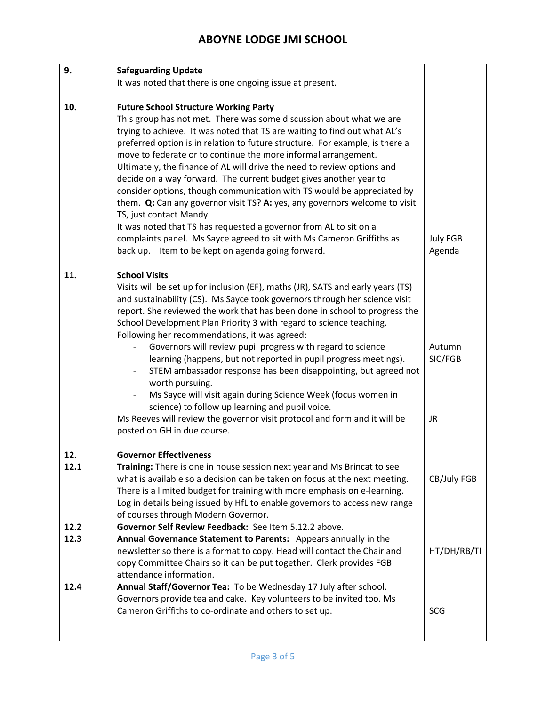| 9.   | <b>Safeguarding Update</b>                                                                                                                  |                   |
|------|---------------------------------------------------------------------------------------------------------------------------------------------|-------------------|
|      | It was noted that there is one ongoing issue at present.                                                                                    |                   |
|      |                                                                                                                                             |                   |
| 10.  | <b>Future School Structure Working Party</b>                                                                                                |                   |
|      | This group has not met. There was some discussion about what we are                                                                         |                   |
|      | trying to achieve. It was noted that TS are waiting to find out what AL's                                                                   |                   |
|      | preferred option is in relation to future structure. For example, is there a                                                                |                   |
|      | move to federate or to continue the more informal arrangement.                                                                              |                   |
|      | Ultimately, the finance of AL will drive the need to review options and                                                                     |                   |
|      | decide on a way forward. The current budget gives another year to<br>consider options, though communication with TS would be appreciated by |                   |
|      | them. Q: Can any governor visit TS? A: yes, any governors welcome to visit                                                                  |                   |
|      | TS, just contact Mandy.                                                                                                                     |                   |
|      | It was noted that TS has requested a governor from AL to sit on a                                                                           |                   |
|      | complaints panel. Ms Sayce agreed to sit with Ms Cameron Griffiths as                                                                       | <b>July FGB</b>   |
|      | back up. Item to be kept on agenda going forward.                                                                                           | Agenda            |
|      |                                                                                                                                             |                   |
| 11.  | <b>School Visits</b>                                                                                                                        |                   |
|      | Visits will be set up for inclusion (EF), maths (JR), SATS and early years (TS)                                                             |                   |
|      | and sustainability (CS). Ms Sayce took governors through her science visit                                                                  |                   |
|      | report. She reviewed the work that has been done in school to progress the                                                                  |                   |
|      | School Development Plan Priority 3 with regard to science teaching.                                                                         |                   |
|      | Following her recommendations, it was agreed:                                                                                               |                   |
|      | Governors will review pupil progress with regard to science<br>learning (happens, but not reported in pupil progress meetings).             | Autumn<br>SIC/FGB |
|      | STEM ambassador response has been disappointing, but agreed not                                                                             |                   |
|      | worth pursuing.                                                                                                                             |                   |
|      | Ms Sayce will visit again during Science Week (focus women in<br>$\blacksquare$                                                             |                   |
|      | science) to follow up learning and pupil voice.                                                                                             |                   |
|      | Ms Reeves will review the governor visit protocol and form and it will be                                                                   | <b>JR</b>         |
|      | posted on GH in due course.                                                                                                                 |                   |
|      |                                                                                                                                             |                   |
| 12.  | <b>Governor Effectiveness</b>                                                                                                               |                   |
| 12.1 | Training: There is one in house session next year and Ms Brincat to see                                                                     |                   |
|      | what is available so a decision can be taken on focus at the next meeting.                                                                  | CB/July FGB       |
|      | There is a limited budget for training with more emphasis on e-learning.                                                                    |                   |
|      | Log in details being issued by HfL to enable governors to access new range<br>of courses through Modern Governor.                           |                   |
| 12.2 | Governor Self Review Feedback: See Item 5.12.2 above.                                                                                       |                   |
| 12.3 | Annual Governance Statement to Parents: Appears annually in the                                                                             |                   |
|      | newsletter so there is a format to copy. Head will contact the Chair and                                                                    | HT/DH/RB/TI       |
|      | copy Committee Chairs so it can be put together. Clerk provides FGB                                                                         |                   |
|      | attendance information.                                                                                                                     |                   |
| 12.4 | Annual Staff/Governor Tea: To be Wednesday 17 July after school.                                                                            |                   |
|      | Governors provide tea and cake. Key volunteers to be invited too. Ms                                                                        |                   |
|      | Cameron Griffiths to co-ordinate and others to set up.                                                                                      | <b>SCG</b>        |
|      |                                                                                                                                             |                   |
|      |                                                                                                                                             |                   |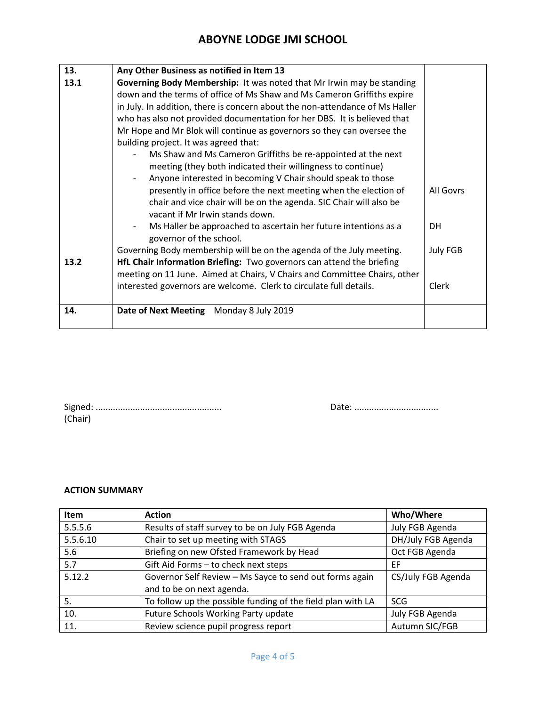| 13.  | Any Other Business as notified in Item 13                                    |                 |  |  |
|------|------------------------------------------------------------------------------|-----------------|--|--|
| 13.1 | Governing Body Membership: It was noted that Mr Irwin may be standing        |                 |  |  |
|      | down and the terms of office of Ms Shaw and Ms Cameron Griffiths expire      |                 |  |  |
|      | in July. In addition, there is concern about the non-attendance of Ms Haller |                 |  |  |
|      | who has also not provided documentation for her DBS. It is believed that     |                 |  |  |
|      | Mr Hope and Mr Blok will continue as governors so they can oversee the       |                 |  |  |
|      | building project. It was agreed that:                                        |                 |  |  |
|      | Ms Shaw and Ms Cameron Griffiths be re-appointed at the next                 |                 |  |  |
|      | meeting (they both indicated their willingness to continue)                  |                 |  |  |
|      | Anyone interested in becoming V Chair should speak to those                  |                 |  |  |
|      | presently in office before the next meeting when the election of             | All Govrs       |  |  |
|      | chair and vice chair will be on the agenda. SIC Chair will also be           |                 |  |  |
|      | vacant if Mr Irwin stands down.                                              |                 |  |  |
|      | Ms Haller be approached to ascertain her future intentions as a              | DH              |  |  |
|      | governor of the school.                                                      |                 |  |  |
|      | Governing Body membership will be on the agenda of the July meeting.         | <b>July FGB</b> |  |  |
| 13.2 | HfL Chair Information Briefing: Two governors can attend the briefing        |                 |  |  |
|      | meeting on 11 June. Aimed at Chairs, V Chairs and Committee Chairs, other    |                 |  |  |
|      | interested governors are welcome. Clerk to circulate full details.           | Clerk           |  |  |
|      |                                                                              |                 |  |  |
| 14.  | Date of Next Meeting Monday 8 July 2019                                      |                 |  |  |
|      |                                                                              |                 |  |  |

| (Chair) |  |  |  |
|---------|--|--|--|

Signed: ................................................... Date: ..................................

#### **ACTION SUMMARY**

| Item     | <b>Action</b>                                               | Who/Where          |
|----------|-------------------------------------------------------------|--------------------|
| 5.5.5.6  | Results of staff survey to be on July FGB Agenda            | July FGB Agenda    |
| 5.5.6.10 | Chair to set up meeting with STAGS                          | DH/July FGB Agenda |
| 5.6      | Briefing on new Ofsted Framework by Head                    | Oct FGB Agenda     |
| 5.7      | Gift Aid Forms - to check next steps                        | EF                 |
| 5.12.2   | Governor Self Review - Ms Sayce to send out forms again     | CS/July FGB Agenda |
|          | and to be on next agenda.                                   |                    |
| 5.       | To follow up the possible funding of the field plan with LA | <b>SCG</b>         |
| 10.      | Future Schools Working Party update                         | July FGB Agenda    |
| 11.      | Review science pupil progress report                        | Autumn SIC/FGB     |